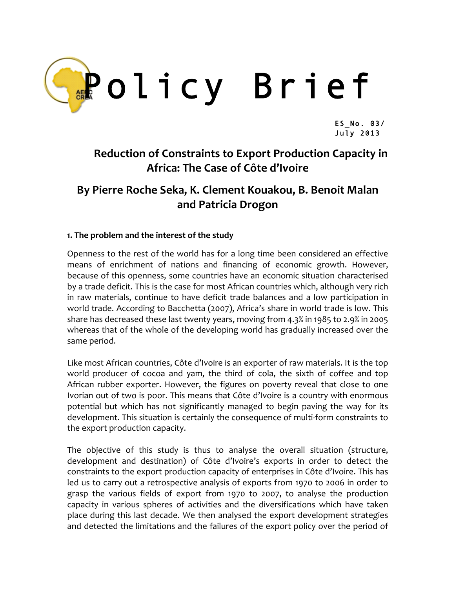

ES\_No. 03/ July 2013

# **Reduction of Constraints to Export Production Capacity in Africa: The Case of Côte d'Ivoire**

## **By Pierre Roche Seka, K. Clement Kouakou, B. Benoit Malan and Patricia Drogon**

### **1. The problem and the interest of the study**

Openness to the rest of the world has for a long time been considered an effective means of enrichment of nations and financing of economic growth. However, because of this openness, some countries have an economic situation characterised by a trade deficit. This is the case for most African countries which, although very rich in raw materials, continue to have deficit trade balances and a low participation in world trade. According to Bacchetta (2007), Africa's share in world trade is low. This share has decreased these last twenty years, moving from 4.3% in 1985 to 2.9% in 2005 whereas that of the whole of the developing world has gradually increased over the same period.

Like most African countries, Côte d'Ivoire is an exporter of raw materials. It is the top world producer of cocoa and yam, the third of cola, the sixth of coffee and top African rubber exporter. However, the figures on poverty reveal that close to one Ivorian out of two is poor. This means that Côte d'Ivoire is a country with enormous potential but which has not significantly managed to begin paving the way for its development. This situation is certainly the consequence of multi-form constraints to the export production capacity.

The objective of this study is thus to analyse the overall situation (structure, development and destination) of Côte d'Ivoire's exports in order to detect the constraints to the export production capacity of enterprises in Côte d'Ivoire. This has led us to carry out a retrospective analysis of exports from 1970 to 2006 in order to grasp the various fields of export from 1970 to 2007, to analyse the production capacity in various spheres of activities and the diversifications which have taken place during this last decade. We then analysed the export development strategies and detected the limitations and the failures of the export policy over the period of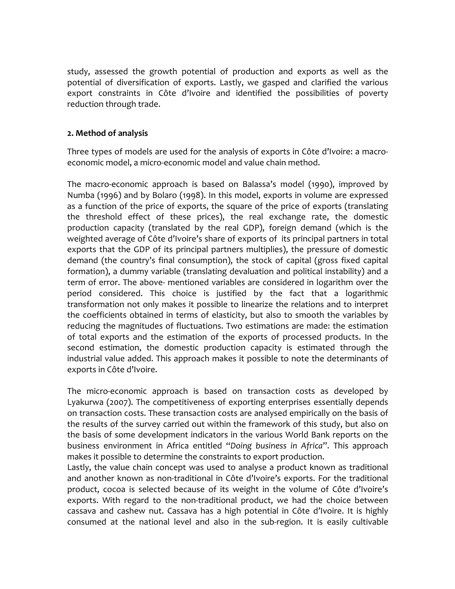study, assessed the growth potential of production and exports as well as the potential of diversification of exports. Lastly, we gasped and clarified the various export constraints in Côte d'Ivoire and identified the possibilities of poverty reduction through trade.

### **2. Method of analysis**

Three types of models are used for the analysis of exports in Côte d'Ivoire: a macro‐ economic model, a micro‐economic model and value chain method.

The macro‐economic approach is based on Balassa's model (1990), improved by Numba (1996) and by Bolaro (1998). In this model, exports in volume are expressed as a function of the price of exports, the square of the price of exports (translating the threshold effect of these prices), the real exchange rate, the domestic production capacity (translated by the real GDP), foreign demand (which is the weighted average of Côte d'Ivoire's share of exports of its principal partners in total exports that the GDP of its principal partners multiplies), the pressure of domestic demand (the country's final consumption), the stock of capital (gross fixed capital formation), a dummy variable (translating devaluation and political instability) and a term of error. The above‐ mentioned variables are considered in logarithm over the period considered. This choice is justified by the fact that a logarithmic transformation not only makes it possible to linearize the relations and to interpret the coefficients obtained in terms of elasticity, but also to smooth the variables by reducing the magnitudes of fluctuations. Two estimations are made: the estimation of total exports and the estimation of the exports of processed products. In the second estimation, the domestic production capacity is estimated through the industrial value added. This approach makes it possible to note the determinants of exports in Côte d'Ivoire.

The micro-economic approach is based on transaction costs as developed by Lyakurwa (2007). The competitiveness of exporting enterprises essentially depends on transaction costs. These transaction costs are analysed empirically on the basis of the results of the survey carried out within the framework of this study, but also on the basis of some development indicators in the various World Bank reports on the business environment in Africa entitled "*Doing business in Africa*". This approach makes it possible to determine the constraints to export production.

Lastly, the value chain concept was used to analyse a product known as traditional and another known as non-traditional in Côte d'Ivoire's exports. For the traditional product, cocoa is selected because of its weight in the volume of Côte d'Ivoire's exports. With regard to the non-traditional product, we had the choice between cassava and cashew nut. Cassava has a high potential in Côte d'Ivoire. It is highly consumed at the national level and also in the sub‐region. It is easily cultivable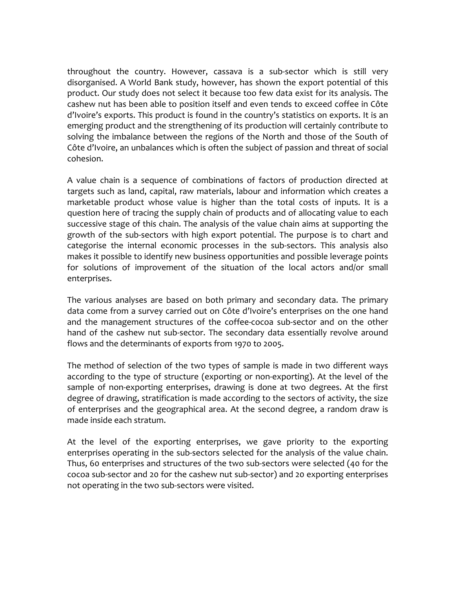throughout the country. However, cassava is a sub‐sector which is still very disorganised. A World Bank study, however, has shown the export potential of this product. Our study does not select it because too few data exist for its analysis. The cashew nut has been able to position itself and even tends to exceed coffee in Côte d'Ivoire's exports. This product is found in the country's statistics on exports. It is an emerging product and the strengthening of its production will certainly contribute to solving the imbalance between the regions of the North and those of the South of Côte d'Ivoire, an unbalances which is often the subject of passion and threat of social cohesion.

A value chain is a sequence of combinations of factors of production directed at targets such as land, capital, raw materials, labour and information which creates a marketable product whose value is higher than the total costs of inputs. It is a question here of tracing the supply chain of products and of allocating value to each successive stage of this chain. The analysis of the value chain aims at supporting the growth of the sub‐sectors with high export potential. The purpose is to chart and categorise the internal economic processes in the sub-sectors. This analysis also makes it possible to identify new business opportunities and possible leverage points for solutions of improvement of the situation of the local actors and/or small enterprises.

The various analyses are based on both primary and secondary data. The primary data come from a survey carried out on Côte d'Ivoire's enterprises on the one hand and the management structures of the coffee‐cocoa sub‐sector and on the other hand of the cashew nut sub-sector. The secondary data essentially revolve around flows and the determinants of exports from 1970 to 2005.

The method of selection of the two types of sample is made in two different ways according to the type of structure (exporting or non‐exporting). At the level of the sample of non-exporting enterprises, drawing is done at two degrees. At the first degree of drawing, stratification is made according to the sectors of activity, the size of enterprises and the geographical area. At the second degree, a random draw is made inside each stratum.

At the level of the exporting enterprises, we gave priority to the exporting enterprises operating in the sub-sectors selected for the analysis of the value chain. Thus, 60 enterprises and structures of the two sub‐sectors were selected (40 for the cocoa sub‐sector and 20 for the cashew nut sub‐sector) and 20 exporting enterprises not operating in the two sub‐sectors were visited.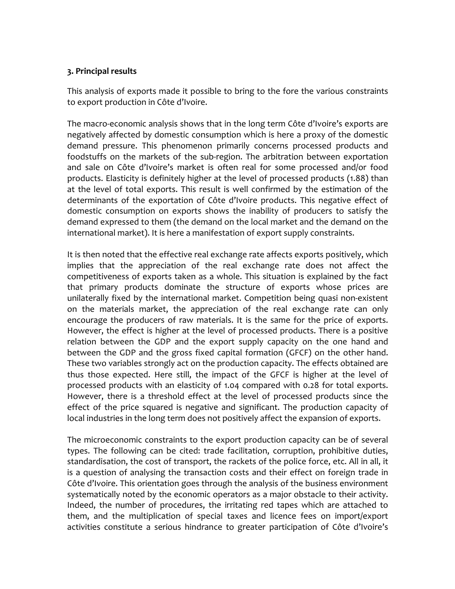#### **3. Principal results**

This analysis of exports made it possible to bring to the fore the various constraints to export production in Côte d'Ivoire.

The macro‐economic analysis shows that in the long term Côte d'Ivoire's exports are negatively affected by domestic consumption which is here a proxy of the domestic demand pressure. This phenomenon primarily concerns processed products and foodstuffs on the markets of the sub-region. The arbitration between exportation and sale on Côte d'Ivoire's market is often real for some processed and/or food products. Elasticity is definitely higher at the level of processed products (1.88) than at the level of total exports. This result is well confirmed by the estimation of the determinants of the exportation of Côte d'Ivoire products. This negative effect of domestic consumption on exports shows the inability of producers to satisfy the demand expressed to them (the demand on the local market and the demand on the international market). It is here a manifestation of export supply constraints.

It is then noted that the effective real exchange rate affects exports positively, which implies that the appreciation of the real exchange rate does not affect the competitiveness of exports taken as a whole. This situation is explained by the fact that primary products dominate the structure of exports whose prices are unilaterally fixed by the international market. Competition being quasi non‐existent on the materials market, the appreciation of the real exchange rate can only encourage the producers of raw materials. It is the same for the price of exports. However, the effect is higher at the level of processed products. There is a positive relation between the GDP and the export supply capacity on the one hand and between the GDP and the gross fixed capital formation (GFCF) on the other hand. These two variables strongly act on the production capacity. The effects obtained are thus those expected. Here still, the impact of the GFCF is higher at the level of processed products with an elasticity of 1.04 compared with 0.28 for total exports. However, there is a threshold effect at the level of processed products since the effect of the price squared is negative and significant. The production capacity of local industries in the long term does not positively affect the expansion of exports.

The microeconomic constraints to the export production capacity can be of several types. The following can be cited: trade facilitation, corruption, prohibitive duties, standardisation, the cost of transport, the rackets of the police force, etc. All in all, it is a question of analysing the transaction costs and their effect on foreign trade in Côte d'Ivoire. This orientation goes through the analysis of the business environment systematically noted by the economic operators as a major obstacle to their activity. Indeed, the number of procedures, the irritating red tapes which are attached to them, and the multiplication of special taxes and licence fees on import/export activities constitute a serious hindrance to greater participation of Côte d'Ivoire's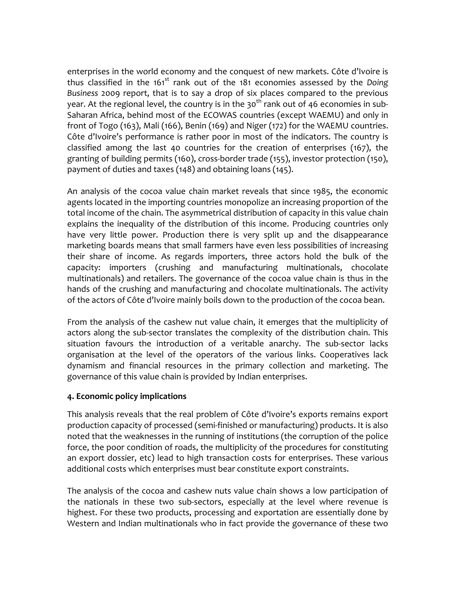enterprises in the world economy and the conquest of new markets. Côte d'Ivoire is thus classified in the 161<sup>st</sup> rank out of the 181 economies assessed by the Doing *Business*  2009 report, that is to say a drop of six places compared to the previous year. At the regional level, the country is in the 30<sup>th</sup> rank out of 46 economies in sub-Saharan Africa, behind most of the ECOWAS countries (except WAEMU) and only in front of Togo (163), Mali (166), Benin (169) and Niger (172) for the WAEMU countries. Côte d'Ivoire's performance is rather poor in most of the indicators. The country is classified among the last 40 countries for the creation of enterprises (167), the granting of building permits (160), cross‐border trade (155), investor protection (150), payment of duties and taxes (148) and obtaining loans (145).

An analysis of the cocoa value chain market reveals that since 1985, the economic agents located in the importing countries monopolize an increasing proportion of the total income of the chain. The asymmetrical distribution of capacity in this value chain explains the inequality of the distribution of this income. Producing countries only have very little power. Production there is very split up and the disappearance marketing boards means that small farmers have even less possibilities of increasing their share of income. As regards importers, three actors hold the bulk of the capacity: importers (crushing and manufacturing multinationals, chocolate multinationals) and retailers. The governance of the cocoa value chain is thus in the hands of the crushing and manufacturing and chocolate multinationals. The activity of the actors of Côte d'Ivoire mainly boils down to the production of the cocoa bean.

From the analysis of the cashew nut value chain, it emerges that the multiplicity of actors along the sub-sector translates the complexity of the distribution chain. This situation favours the introduction of a veritable anarchy. The sub-sector lacks organisation at the level of the operators of the various links. Cooperatives lack dynamism and financial resources in the primary collection and marketing. The governance of this value chain is provided by Indian enterprises.

#### **4. Economic policy implications**

This analysis reveals that the real problem of Côte d'Ivoire's exports remains export production capacity of processed (semi‐finished or manufacturing) products. It is also noted that the weaknesses in the running of institutions (the corruption of the police force, the poor condition of roads, the multiplicity of the procedures for constituting an export dossier, etc) lead to high transaction costs for enterprises. These various additional costs which enterprises must bear constitute export constraints.

The analysis of the cocoa and cashew nuts value chain shows a low participation of the nationals in these two sub-sectors, especially at the level where revenue is highest. For these two products, processing and exportation are essentially done by Western and Indian multinationals who in fact provide the governance of these two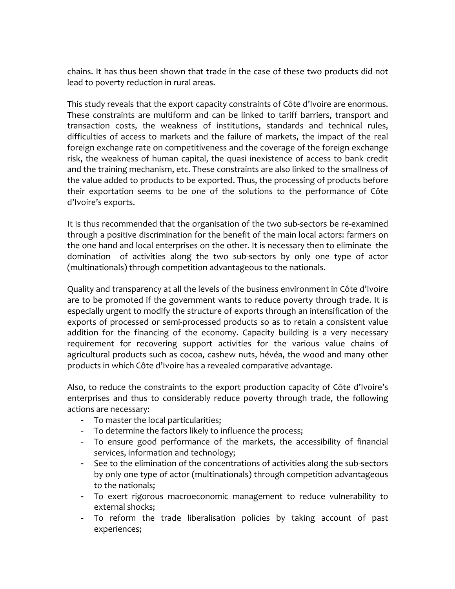chains. It has thus been shown that trade in the case of these two products did not lead to poverty reduction in rural areas.

This study reveals that the export capacity constraints of Côte d'Ivoire are enormous. These constraints are multiform and can be linked to tariff barriers, transport and transaction costs, the weakness of institutions, standards and technical rules, difficulties of access to markets and the failure of markets, the impact of the real foreign exchange rate on competitiveness and the coverage of the foreign exchange risk, the weakness of human capital, the quasi inexistence of access to bank credit and the training mechanism, etc. These constraints are also linked to the smallness of the value added to products to be exported. Thus, the processing of products before their exportation seems to be one of the solutions to the performance of Côte d'Ivoire's exports.

It is thus recommended that the organisation of the two sub‐sectors be re‐examined through a positive discrimination for the benefit of the main local actors: farmers on the one hand and local enterprises on the other. It is necessary then to eliminate the domination of activities along the two sub-sectors by only one type of actor (multinationals) through competition advantageous to the nationals.

Quality and transparency at all the levels of the business environment in Côte d'Ivoire are to be promoted if the government wants to reduce poverty through trade. It is especially urgent to modify the structure of exports through an intensification of the exports of processed or semi‐processed products so as to retain a consistent value addition for the financing of the economy. Capacity building is a very necessary requirement for recovering support activities for the various value chains of agricultural products such as cocoa, cashew nuts, hévéa, the wood and many other products in which Côte d'Ivoire has a revealed comparative advantage.

Also, to reduce the constraints to the export production capacity of Côte d'Ivoire's enterprises and thus to considerably reduce poverty through trade, the following actions are necessary:

- To master the local particularities;
- To determine the factors likely to influence the process;
- To ensure good performance of the markets, the accessibility of financial services, information and technology;
- See to the elimination of the concentrations of activities along the sub‐sectors by only one type of actor (multinationals) through competition advantageous to the nationals;
- To exert rigorous macroeconomic management to reduce vulnerability to external shocks;
- To reform the trade liberalisation policies by taking account of past experiences;